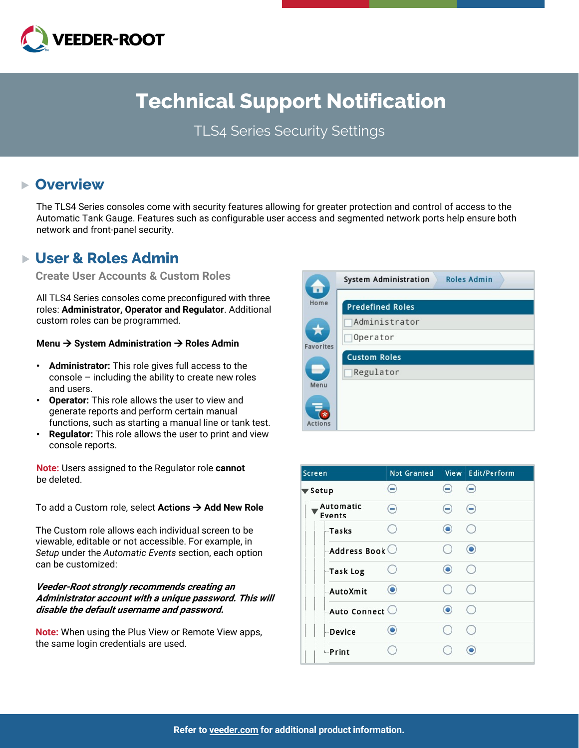

# **Technical Support Notification**

TLS4 Series Security Settings

### **Overview**

The TLS4 Series consoles come with security features allowing for greater protection and control of access to the Automatic Tank Gauge. Features such as configurable user access and segmented network ports help ensure both network and front-panel security.

### **User & Roles Admin**

**Create User Accounts & Custom Roles**

All TLS4 Series consoles come preconfigured with three roles: **Administrator, Operator and Regulator**. Additional custom roles can be programmed.

#### **Menu** à **System Administration** à **Roles Admin**

- **Administrator:** This role gives full access to the console – including the ability to create new roles and users.
- **Operator:** This role allows the user to view and generate reports and perform certain manual functions, such as starting a manual line or tank test.
- **Regulator:** This role allows the user to print and view console reports.

**Note:** Users assigned to the Regulator role **cannot** be deleted.

To add a Custom role, select **Actions** à **Add New Role**

The Custom role allows each individual screen to be viewable, editable or not accessible. For example, in *Setup* under the *Automatic Events* section, each option can be customized:

#### **Veeder-Root strongly recommends creating an Administrator account with a unique password. This will disable the default username and password.**

**Note:** When using the Plus View or Remote View apps, the same login credentials are used.

| Œ                | <b>Roles Admin</b><br><b>System Administration</b> |
|------------------|----------------------------------------------------|
| Home             | <b>Predefined Roles</b>                            |
|                  | Administrator                                      |
| <b>Favorites</b> | Operator                                           |
|                  | <b>Custom Roles</b>                                |
|                  | Regulator                                          |
| Menu             |                                                    |
| Actions          |                                                    |

| <b>Screen</b>               | <b>Not Granted</b> |                   | View Edit/Perform      |
|-----------------------------|--------------------|-------------------|------------------------|
| $\blacktriangledown$ Setup  | $\left( -\right)$  | $\left( -\right)$ | $\left( -\right)$      |
| Automatic<br>Events         | ⊖                  | $\left( -\right)$ | $\bigodot$             |
| <b>Tasks</b>                |                    | $\circledbullet$  | $\left( \quad \right)$ |
| $-$ Address Book $\bigcirc$ |                    |                   | $\odot$                |
| Task Log                    |                    | $\odot$           | $\left( \quad \right)$ |
| <b>AutoXmit</b>             | $\circledcirc$     |                   |                        |
| $-$ Auto Connect $\bigcirc$ |                    | $\circledbullet$  | <sub>(</sub>           |
| <b>Device</b>               | $\bullet$          |                   | Ø.                     |
| <b>Print</b>                |                    |                   | $\bullet$              |